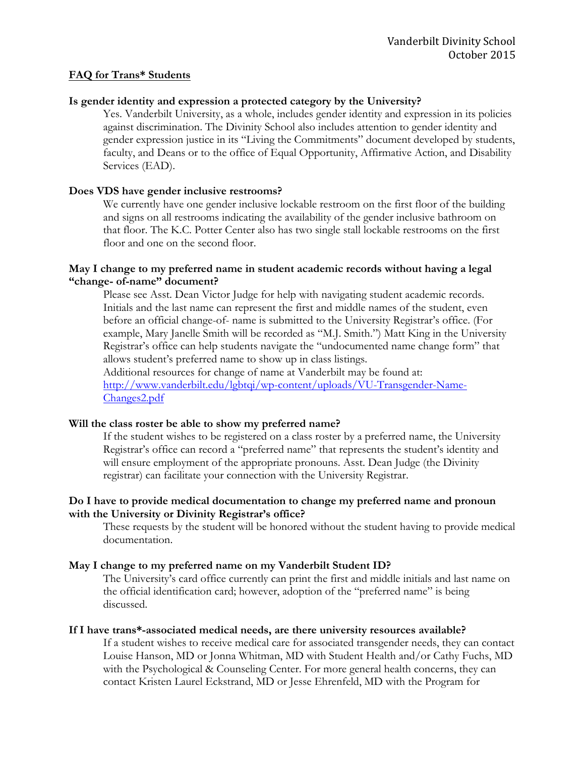### **FAQ for Trans\* Students**

## **Is gender identity and expression a protected category by the University?**

Yes. Vanderbilt University, as a whole, includes gender identity and expression in its policies against discrimination. The Divinity School also includes attention to gender identity and gender expression justice in its "Living the Commitments" document developed by students, faculty, and Deans or to the office of Equal Opportunity, Affirmative Action, and Disability Services (EAD).

## **Does VDS have gender inclusive restrooms?**

We currently have one gender inclusive lockable restroom on the first floor of the building and signs on all restrooms indicating the availability of the gender inclusive bathroom on that floor. The K.C. Potter Center also has two single stall lockable restrooms on the first floor and one on the second floor.

### **May I change to my preferred name in student academic records without having a legal "change- of-name" document?**

Please see Asst. Dean Victor Judge for help with navigating student academic records. Initials and the last name can represent the first and middle names of the student, even before an official change-of- name is submitted to the University Registrar's office. (For example, Mary Janelle Smith will be recorded as "M.J. Smith.") Matt King in the University Registrar's office can help students navigate the "undocumented name change form" that allows student's preferred name to show up in class listings.

Additional resources for change of name at Vanderbilt may be found at: http://www.vanderbilt.edu/lgbtqi/wp-content/uploads/VU-Transgender-Name-Changes2.pdf

#### **Will the class roster be able to show my preferred name?**

If the student wishes to be registered on a class roster by a preferred name, the University Registrar's office can record a "preferred name" that represents the student's identity and will ensure employment of the appropriate pronouns. Asst. Dean Judge (the Divinity registrar) can facilitate your connection with the University Registrar.

## **Do I have to provide medical documentation to change my preferred name and pronoun with the University or Divinity Registrar's office?**

These requests by the student will be honored without the student having to provide medical documentation.

#### **May I change to my preferred name on my Vanderbilt Student ID?**

The University's card office currently can print the first and middle initials and last name on the official identification card; however, adoption of the "preferred name" is being discussed.

#### **If I have trans\*-associated medical needs, are there university resources available?**

If a student wishes to receive medical care for associated transgender needs, they can contact Louise Hanson, MD or Jonna Whitman, MD with Student Health and/or Cathy Fuchs, MD with the Psychological & Counseling Center. For more general health concerns, they can contact Kristen Laurel Eckstrand, MD or Jesse Ehrenfeld, MD with the Program for